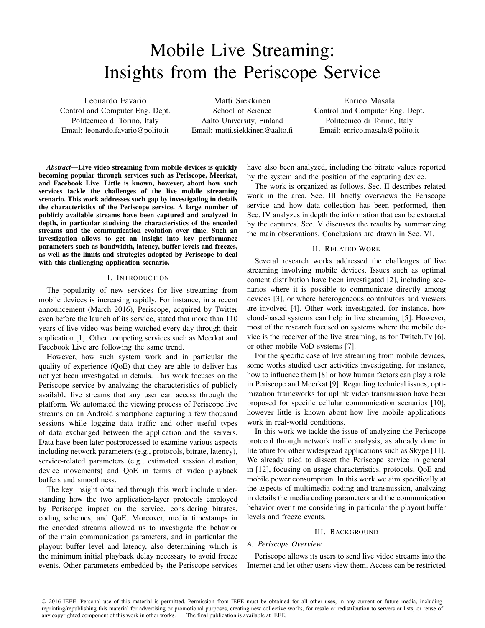# Mobile Live Streaming: Insights from the Periscope Service

Leonardo Favario Control and Computer Eng. Dept. Politecnico di Torino, Italy Email: leonardo.favario@polito.it

Matti Siekkinen School of Science Aalto University, Finland Email: matti.siekkinen@aalto.fi

Enrico Masala Control and Computer Eng. Dept. Politecnico di Torino, Italy Email: enrico.masala@polito.it

*Abstract*—Live video streaming from mobile devices is quickly becoming popular through services such as Periscope, Meerkat, and Facebook Live. Little is known, however, about how such services tackle the challenges of the live mobile streaming scenario. This work addresses such gap by investigating in details the characteristics of the Periscope service. A large number of publicly available streams have been captured and analyzed in depth, in particular studying the characteristics of the encoded streams and the communication evolution over time. Such an investigation allows to get an insight into key performance parameters such as bandwidth, latency, buffer levels and freezes, as well as the limits and strategies adopted by Periscope to deal with this challenging application scenario.

## I. INTRODUCTION

The popularity of new services for live streaming from mobile devices is increasing rapidly. For instance, in a recent announcement (March 2016), Periscope, acquired by Twitter even before the launch of its service, stated that more than 110 years of live video was being watched every day through their application [1]. Other competing services such as Meerkat and Facebook Live are following the same trend.

However, how such system work and in particular the quality of experience (QoE) that they are able to deliver has not yet been investigated in details. This work focuses on the Periscope service by analyzing the characteristics of publicly available live streams that any user can access through the platform. We automated the viewing process of Periscope live streams on an Android smartphone capturing a few thousand sessions while logging data traffic and other useful types of data exchanged between the application and the servers. Data have been later postprocessed to examine various aspects including network parameters (e.g., protocols, bitrate, latency), service-related parameters (e.g., estimated session duration, device movements) and QoE in terms of video playback buffers and smoothness.

The key insight obtained through this work include understanding how the two application-layer protocols employed by Periscope impact on the service, considering bitrates, coding schemes, and QoE. Moreover, media timestamps in the encoded streams allowed us to investigate the behavior of the main communication parameters, and in particular the playout buffer level and latency, also determining which is the minimum initial playback delay necessary to avoid freeze events. Other parameters embedded by the Periscope services

have also been analyzed, including the bitrate values reported by the system and the position of the capturing device.

The work is organized as follows. Sec. II describes related work in the area. Sec. III briefly overviews the Periscope service and how data collection has been performed, then Sec. IV analyzes in depth the information that can be extracted by the captures. Sec. V discusses the results by summarizing the main observations. Conclusions are drawn in Sec. VI.

# II. RELATED WORK

Several research works addressed the challenges of live streaming involving mobile devices. Issues such as optimal content distribution have been investigated [2], including scenarios where it is possible to communicate directly among devices [3], or where heterogeneous contributors and viewers are involved [4]. Other work investigated, for instance, how cloud-based systems can help in live streaming [5]. However, most of the research focused on systems where the mobile device is the receiver of the live streaming, as for Twitch.Tv [6], or other mobile VoD systems [7].

For the specific case of live streaming from mobile devices, some works studied user activities investigating, for instance, how to influence them [8] or how human factors can play a role in Periscope and Meerkat [9]. Regarding technical issues, optimization frameworks for uplink video transmission have been proposed for specific cellular communication scenarios [10], however little is known about how live mobile applications work in real-world conditions.

In this work we tackle the issue of analyzing the Periscope protocol through network traffic analysis, as already done in literature for other widespread applications such as Skype [11]. We already tried to dissect the Periscope service in general in [12], focusing on usage characteristics, protocols, QoE and mobile power consumption. In this work we aim specifically at the aspects of multimedia coding and transmission, analyzing in details the media coding parameters and the communication behavior over time considering in particular the playout buffer levels and freeze events.

## III. BACKGROUND

## *A. Periscope Overview*

Periscope allows its users to send live video streams into the Internet and let other users view them. Access can be restricted

<sup>© 2016</sup> IEEE. Personal use of this material is permitted. Permission from IEEE must be obtained for all other uses, in any current or future media, including reprinting/republishing this material for advertising or promotional purposes, creating new collective works, for resale or redistribution to servers or lists, or reuse of any copyrighted component of this work in other works. The final publication is available at IEEE.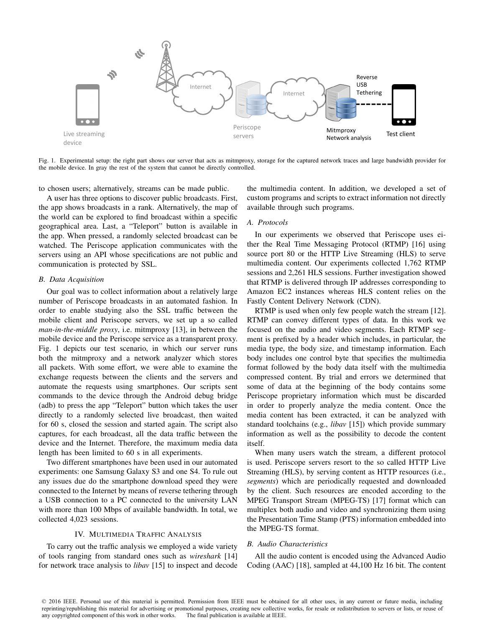

Fig. 1. Experimental setup: the right part shows our server that acts as mitmproxy, storage for the captured network traces and large bandwidth provider for the mobile device. In gray the rest of the system that cannot be directly controlled.

to chosen users; alternatively, streams can be made public.

A user has three options to discover public broadcasts. First, the app shows broadcasts in a rank. Alternatively, the map of the world can be explored to find broadcast within a specific geographical area. Last, a "Teleport" button is available in the app. When pressed, a randomly selected broadcast can be watched. The Periscope application communicates with the servers using an API whose specifications are not public and communication is protected by SSL.

#### *B. Data Acquisition*

Our goal was to collect information about a relatively large number of Periscope broadcasts in an automated fashion. In order to enable studying also the SSL traffic between the mobile client and Periscope servers, we set up a so called *man-in-the-middle proxy*, i.e. mitmproxy [13], in between the mobile device and the Periscope service as a transparent proxy. Fig. 1 depicts our test scenario, in which our server runs both the mitmproxy and a network analyzer which stores all packets. With some effort, we were able to examine the exchange requests between the clients and the servers and automate the requests using smartphones. Our scripts sent commands to the device through the Android debug bridge (adb) to press the app "Teleport" button which takes the user directly to a randomly selected live broadcast, then waited for 60 s, closed the session and started again. The script also captures, for each broadcast, all the data traffic between the device and the Internet. Therefore, the maximum media data length has been limited to 60 s in all experiments.

Two different smartphones have been used in our automated experiments: one Samsung Galaxy S3 and one S4. To rule out any issues due do the smartphone download speed they were connected to the Internet by means of reverse tethering through a USB connection to a PC connected to the university LAN with more than 100 Mbps of available bandwidth. In total, we collected 4,023 sessions.

#### IV. MULTIMEDIA TRAFFIC ANALYSIS

To carry out the traffic analysis we employed a wide variety of tools ranging from standard ones such as *wireshark* [14] for network trace analysis to *libav* [15] to inspect and decode the multimedia content. In addition, we developed a set of custom programs and scripts to extract information not directly available through such programs.

# *A. Protocols*

In our experiments we observed that Periscope uses either the Real Time Messaging Protocol (RTMP) [16] using source port 80 or the HTTP Live Streaming (HLS) to serve multimedia content. Our experiments collected 1,762 RTMP sessions and 2,261 HLS sessions. Further investigation showed that RTMP is delivered through IP addresses corresponding to Amazon EC2 instances whereas HLS content relies on the Fastly Content Delivery Network (CDN).

RTMP is used when only few people watch the stream [12]. RTMP can convey different types of data. In this work we focused on the audio and video segments. Each RTMP segment is prefixed by a header which includes, in particular, the media type, the body size, and timestamp information. Each body includes one control byte that specifies the multimedia format followed by the body data itself with the multimedia compressed content. By trial and errors we determined that some of data at the beginning of the body contains some Periscope proprietary information which must be discarded in order to properly analyze the media content. Once the media content has been extracted, it can be analyzed with standard toolchains (e.g., *libav* [15]) which provide summary information as well as the possibility to decode the content itself.

When many users watch the stream, a different protocol is used. Periscope servers resort to the so called HTTP Live Streaming (HLS), by serving content as HTTP resources (i.e., *segments*) which are periodically requested and downloaded by the client. Such resources are encoded according to the MPEG Transport Stream (MPEG-TS) [17] format which can multiplex both audio and video and synchronizing them using the Presentation Time Stamp (PTS) information embedded into the MPEG-TS format.

# *B. Audio Characteristics*

All the audio content is encoded using the Advanced Audio Coding (AAC) [18], sampled at 44,100 Hz 16 bit. The content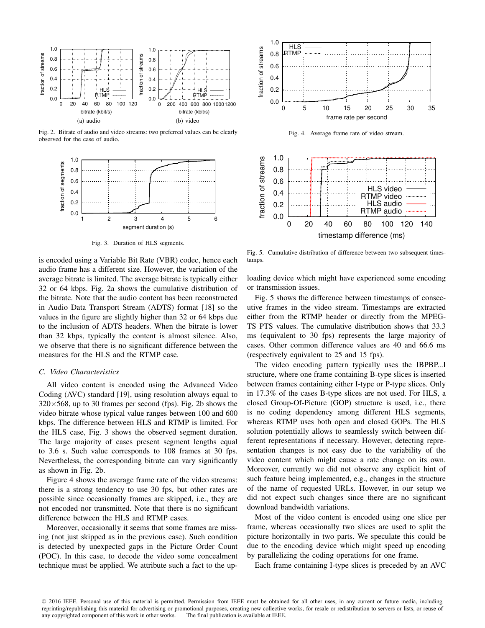

Fig. 2. Bitrate of audio and video streams: two preferred values can be clearly observed for the case of audio.



Fig. 3. Duration of HLS segments.

is encoded using a Variable Bit Rate (VBR) codec, hence each audio frame has a different size. However, the variation of the average bitrate is limited. The average bitrate is typically either 32 or 64 kbps. Fig. 2a shows the cumulative distribution of the bitrate. Note that the audio content has been reconstructed in Audio Data Transport Stream (ADTS) format [18] so the values in the figure are slightly higher than 32 or 64 kbps due to the inclusion of ADTS headers. When the bitrate is lower than 32 kbps, typically the content is almost silence. Also, we observe that there is no significant difference between the measures for the HLS and the RTMP case.

#### *C. Video Characteristics*

All video content is encoded using the Advanced Video Coding (AVC) standard [19], using resolution always equal to  $320\times568$ , up to 30 frames per second (fps). Fig. 2b shows the video bitrate whose typical value ranges between 100 and 600 kbps. The difference between HLS and RTMP is limited. For the HLS case, Fig. 3 shows the observed segment duration. The large majority of cases present segment lengths equal to 3.6 s. Such value corresponds to 108 frames at 30 fps. Nevertheless, the corresponding bitrate can vary significantly as shown in Fig. 2b.

Figure 4 shows the average frame rate of the video streams: there is a strong tendency to use 30 fps, but other rates are possible since occasionally frames are skipped, i.e., they are not encoded nor transmitted. Note that there is no significant difference between the HLS and RTMP cases.

Moreover, occasionally it seems that some frames are missing (not just skipped as in the previous case). Such condition is detected by unexpected gaps in the Picture Order Count (POC). In this case, to decode the video some concealment technique must be applied. We attribute such a fact to the up-



Fig. 4. Average frame rate of video stream.



Fig. 5. Cumulative distribution of difference between two subsequent timestamps.

loading device which might have experienced some encoding or transmission issues.

Fig. 5 shows the difference between timestamps of consecutive frames in the video stream. Timestamps are extracted either from the RTMP header or directly from the MPEG-TS PTS values. The cumulative distribution shows that 33.3 ms (equivalent to 30 fps) represents the large majority of cases. Other common difference values are 40 and 66.6 ms (respectively equivalent to 25 and 15 fps).

The video encoding pattern typically uses the IBPBP...I structure, where one frame containing B-type slices is inserted between frames containing either I-type or P-type slices. Only in 17.3% of the cases B-type slices are not used. For HLS, a closed Group-Of-Picture (GOP) structure is used, i.e., there is no coding dependency among different HLS segments, whereas RTMP uses both open and closed GOPs. The HLS solution potentially allows to seamlessly switch between different representations if necessary. However, detecting representation changes is not easy due to the variability of the video content which might cause a rate change on its own. Moreover, currently we did not observe any explicit hint of such feature being implemented, e.g., changes in the structure of the name of requested URLs. However, in our setup we did not expect such changes since there are no significant download bandwidth variations.

Most of the video content is encoded using one slice per frame, whereas occasionally two slices are used to split the picture horizontally in two parts. We speculate this could be due to the encoding device which might speed up encoding by parallelizing the coding operations for one frame.

Each frame containing I-type slices is preceded by an AVC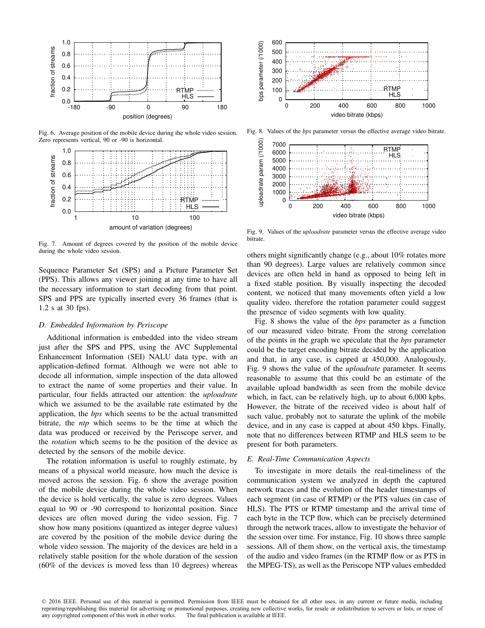

Fig. 6. Average position of the mobile device during the whole video session. Zero represents vertical, 90 or -90 is horizontal.



Fig. 7. Amount of degrees covered by the position of the mobile device during the whole video session.

Sequence Parameter Set (SPS) and a Picture Parameter Set (PPS). This allows any viewer joining at any time to have all the necessary information to start decoding from that point. SPS and PPS are typically inserted every 36 frames (that is 1.2 s at 30 fps).

## *D. Embedded Information by Periscope*

Additional information is embedded into the video stream just after the SPS and PPS, using the AVC Supplemental Enhancement Information (SEI) NALU data type, with an application-defined format. Although we were not able to decode all information, simple inspection of the data allowed to extract the name of some properties and their value. In particular, four fields attracted our attention: the *uploadrate* which we assumed to be the available rate estimated by the application, the *bps* which seems to be the actual transmitted bitrate, the *ntp* which seems to be the time at which the data was produced or received by the Periscope server, and the *rotation* which seems to be the position of the device as detected by the sensors of the mobile device.

The rotation information is useful to roughly estimate, by means of a physical world measure, how much the device is moved across the session. Fig. 6 show the average position of the mobile device during the whole video session. When the device is hold vertically, the value is zero degrees. Values equal to 90 or -90 correspond to horizontal position. Since devices are often moved during the video session, Fig. 7 show how many positions (quantized as integer degree values) are covered by the position of the mobile device during the whole video session. The majority of the devices are held in a relatively stable position for the whole duration of the session (60% of the devices is moved less than 10 degrees) whereas



Fig. 8. Values of the *bps* parameter versus the effective average video bitrate.



Fig. 9. Values of the *uploadrate* parameter versus the effective average video bitrate.

others might significantly change (e.g., about 10% rotates more than 90 degrees). Large values are relatively common since devices are often held in hand as opposed to being left in a fixed stable position. By visually inspecting the decoded content, we noticed that many movements often yield a low quality video, therefore the rotation parameter could suggest the presence of video segments with low quality.

Fig. 8 shows the value of the *bps* parameter as a function of our measured video bitrate. From the strong correlation of the points in the graph we speculate that the *bps* parameter could be the target encoding bitrate decided by the application and that, in any case, is capped at 450,000. Analogously, Fig. 9 shows the value of the *uploadrate* parameter. It seems reasonable to assume that this could be an estimate of the available upload bandwidth as seen from the mobile device which, in fact, can be relatively high, up to about 6,000 kpbs. However, the bitrate of the received video is about half of such value, probably not to saturate the uplink of the mobile device, and in any case is capped at about 450 kbps. Finally, note that no differences between RTMP and HLS seem to be present for both parameters.

# *E. Real-Time Communication Aspects*

To investigate in more details the real-timeliness of the communication system we analyzed in depth the captured network traces and the evolution of the header timestamps of each segment (in case of RTMP) or the PTS values (in case of HLS). The PTS or RTMP timestamp and the arrival time of each byte in the TCP flow, which can be precisely determined through the network traces, allow to investigate the behavior of the session over time. For instance, Fig. 10 shows three sample sessions. All of them show, on the vertical axis, the timestamp of the audio and video frames (in the RTMP flow or as PTS in the MPEG-TS), as well as the Periscope NTP values embedded

<sup>© 2016</sup> IEEE. Personal use of this material is permitted. Permission from IEEE must be obtained for all other uses, in any current or future media, including reprinting/republishing this material for advertising or promotional purposes, creating new collective works, for resale or redistribution to servers or lists, or reuse of any copyrighted component of this work in other works. The final publication is available at IEEE.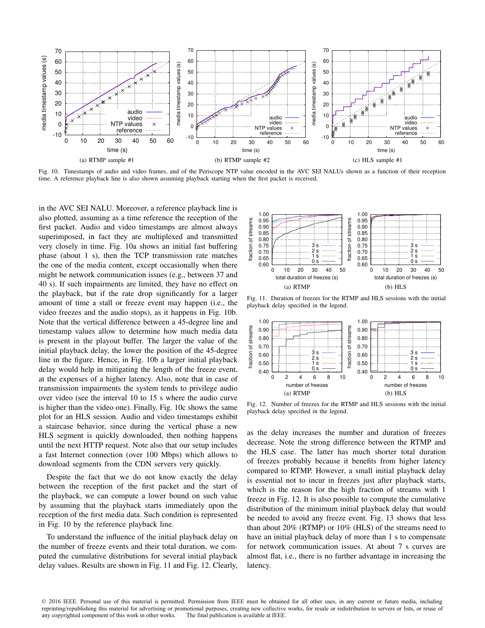

Fig. 10. Timestamps of audio and video frames, and of the Periscope NTP value encoded in the AVC SEI NALUs shown as a function of their reception time. A reference playback line is also shown assuming playback starting when the first packet is received.

in the AVC SEI NALU. Moreover, a reference playback line is also plotted, assuming as a time reference the reception of the first packet. Audio and video timestamps are almost always superimposed, in fact they are multiplexed and transmitted very closely in time. Fig. 10a shows an initial fast buffering phase (about 1 s), then the TCP transmission rate matches the one of the media content, except occasionally when there might be network communication issues (e.g., between 37 and 40 s). If such impairments are limited, they have no effect on the playback, but if the rate drop significantly for a larger amount of time a stall or freeze event may happen (i.e., the video freezes and the audio stops), as it happens in Fig. 10b. Note that the vertical difference between a 45-degree line and timestamp values allow to determine how much media data is present in the playout buffer. The larger the value of the initial playback delay, the lower the position of the 45-degree line in the figure. Hence, in Fig. 10b a larger initial playback delay would help in mitigating the length of the freeze event, at the expenses of a higher latency. Also, note that in case of transmission impairments the system tends to privilege audio over video (see the interval 10 to 15 s where the audio curve is higher than the video one). Finally, Fig. 10c shows the same plot for an HLS session. Audio and video timestamps exhibit a staircase behavior, since during the vertical phase a new HLS segment is quickly downloaded, then nothing happens until the next HTTP request. Note also that our setup includes a fast Internet connection (over 100 Mbps) which allows to download segments from the CDN servers very quickly.

Despite the fact that we do not know exactly the delay between the reception of the first packet and the start of the playback, we can compute a lower bound on such value by assuming that the playback starts immediately upon the reception of the first media data. Such condition is represented in Fig. 10 by the reference playback line.

To understand the influence of the initial playback delay on the number of freeze events and their total duration, we computed the cumulative distributions for several initial playback delay values. Results are shown in Fig. 11 and Fig. 12. Clearly,



Fig. 11. Duration of freezes for the RTMP and HLS sessions with the initial playback delay specified in the legend.



Fig. 12. Number of freezes for the RTMP and HLS sessions with the initial playback delay specified in the legend.

as the delay increases the number and duration of freezes decrease. Note the strong difference between the RTMP and the HLS case. The latter has much shorter total duration of freezes probably because it benefits from higher latency compared to RTMP. However, a small initial playback delay is essential not to incur in freezes just after playback starts, which is the reason for the high fraction of streams with 1 freeze in Fig. 12. It is also possible to compute the cumulative distribution of the minimum initial playback delay that would be needed to avoid any freeze event. Fig. 13 shows that less than about 20% (RTMP) or 10% (HLS) of the streams need to have an initial playback delay of more than 1 s to compensate for network communication issues. At about 7 s curves are almost flat, i.e., there is no further advantage in increasing the latency.

<sup>© 2016</sup> IEEE. Personal use of this material is permitted. Permission from IEEE must be obtained for all other uses, in any current or future media, including reprinting/republishing this material for advertising or promotional purposes, creating new collective works, for resale or redistribution to servers or lists, or reuse of any copyrighted component of this work in other works. The final publication is available at IEEE.